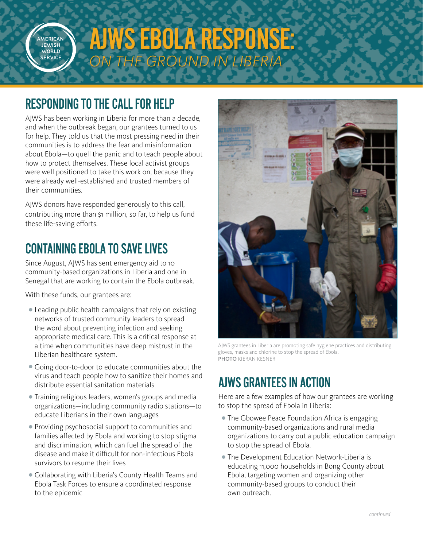

# AJWS EBOLA RESPONSE: *ON THE GROUND IN LIBERIA*

### RESPONDING TO THE CALL FOR HELP

AJWS has been working in Liberia for more than a decade, and when the outbreak began, our grantees turned to us for help. They told us that the most pressing need in their communities is to address the fear and misinformation about Ebola—to quell the panic and to teach people about how to protect themselves. These local activist groups were well positioned to take this work on, because they were already well-established and trusted members of their communities.

AJWS donors have responded generously to this call, contributing more than \$1 million, so far, to help us fund these life-saving efforts.

### CONTAINING EBOLA TO SAVE LIVES

Since August, AJWS has sent emergency aid to 10 community-based organizations in Liberia and one in Senegal that are working to contain the Ebola outbreak.

With these funds, our grantees are:

- Leading public health campaigns that rely on existing networks of trusted community leaders to spread the word about preventing infection and seeking appropriate medical care. This is a critical response at a time when communities have deep mistrust in the Liberian healthcare system.
- Going door-to-door to educate communities about the virus and teach people how to sanitize their homes and distribute essential sanitation materials
- Training religious leaders, women's groups and media organizations—including community radio stations—to educate Liberians in their own languages
- Providing psychosocial support to communities and families affected by Ebola and working to stop stigma and discrimination, which can fuel the spread of the disease and make it difficult for non-infectious Ebola survivors to resume their lives
- Collaborating with Liberia's County Health Teams and Ebola Task Forces to ensure a coordinated response to the epidemic



AJWS grantees in Liberia are promoting safe hygiene practices and distributing gloves, masks and chlorine to stop the spread of Ebola. PHOTO KIERAN KESNER

## AJWS GRANTEES IN ACTION

Here are a few examples of how our grantees are working to stop the spread of Ebola in Liberia:

- The Gbowee Peace Foundation Africa is engaging community-based organizations and rural media organizations to carry out a public education campaign to stop the spread of Ebola.
- The Development Education Network-Liberia is educating 11,000 households in Bong County about Ebola, targeting women and organizing other community-based groups to conduct their own outreach.